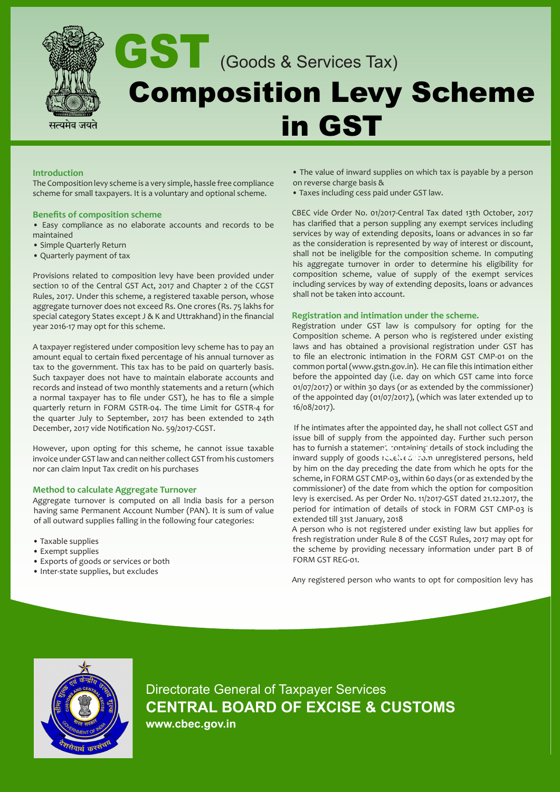

### **Introduction**

The Composition levy scheme is a very simple, hassle free compliance scheme for small taxpayers. It is a voluntary and optional scheme.

#### **Benefits of composition scheme**

• Easy compliance as no elaborate accounts and records to be maintained

- Simple Quarterly Return
- Quarterly payment of tax

Provisions related to composition levy have been provided under section 10 of the Central GST Act, 2017 and Chapter 2 of the CGST Rules, 2017. Under this scheme, a registered taxable person, whose aggregate turnover does not exceed Rs. One crores (Rs. 75 lakhs for special category States except J & K and Uttrakhand) in the financial year 2016-17 may opt for this scheme.

A taxpayer registered under composition levy scheme has to pay an amount equal to certain fixed percentage of his annual turnover as tax to the government. This tax has to be paid on quarterly basis. Such taxpayer does not have to maintain elaborate accounts and records and instead of two monthly statements and a return (which a normal taxpayer has to file under GST), he has to file a simple quarterly return in FORM GSTR-04. The time Limit for GSTR-4 for the quarter July to September, 2017 has been extended to 24th December, 2017 vide Notification No. 59/2017-CGST.

However, upon opting for this scheme, he cannot issue taxable invoice under GST law and can neither collect GST from his customers nor can claim Input Tax credit on his purchases

#### **Method to calculate Aggregate Turnover**

Aggregate turnover is computed on all India basis for a person having same Permanent Account Number (PAN). It is sum of value of all outward supplies falling in the following four categories:

- Taxable supplies
- Exempt supplies
- Exports of goods or services or both
- Inter-state supplies, but excludes
- The value of inward supplies on which tax is payable by a person on reverse charge basis &
- Taxes including cess paid under GST law.

CBEC vide Order No. 01/2017-Central Tax dated 13th October, 2017 has clarified that a person suppling any exempt services including services by way of extending deposits, loans or advances in so far as the consideration is represented by way of interest or discount, shall not be ineligible for the composition scheme. In computing his aggregate turnover in order to determine his eligibility for composition scheme, value of supply of the exempt services including services by way of extending deposits, loans or advances shall not be taken into account.

#### **Registration and intimation under the scheme.**

Registration under GST law is compulsory for opting for the Composition scheme. A person who is registered under existing laws and has obtained a provisional registration under GST has to file an electronic intimation in the FORM GST CMP-01 on the common portal (www.gstn.gov.in). He can file this intimation either before the appointed day (i.e. day on which GST came into force 01/07/2017) or within 30 days (or as extended by the commissioner) of the appointed day (01/07/2017), (which was later extended up to 16/08/2017).

 If he intimates after the appointed day, he shall not collect GST and issue bill of supply from the appointed day. Further such person has to furnish a statement containing details of stock including the nas to furnish a statement containing details of stock including the<br>inward supply of goods received from unregistered persons, held by him on the day preceding the date from which he opts for the scheme, in FORM GST CMP-03, within 60 days (or as extended by the commissioner) of the date from which the option for composition levy is exercised. As per Order No. 11/2017-GST dated 21.12.2017, the period for intimation of details of stock in FORM GST CMP-03 is extended till 31st January, 2018

A person who is not registered under existing law but applies for fresh registration under Rule 8 of the CGST Rules, 2017 may opt for the scheme by providing necessary information under part B of FORM GST REG-01.

Any registered person who wants to opt for composition levy has



Directorate General of Taxpayer Services **CENTRAL BOARD OF EXCISE & CUSTOMS www.cbec.gov.in**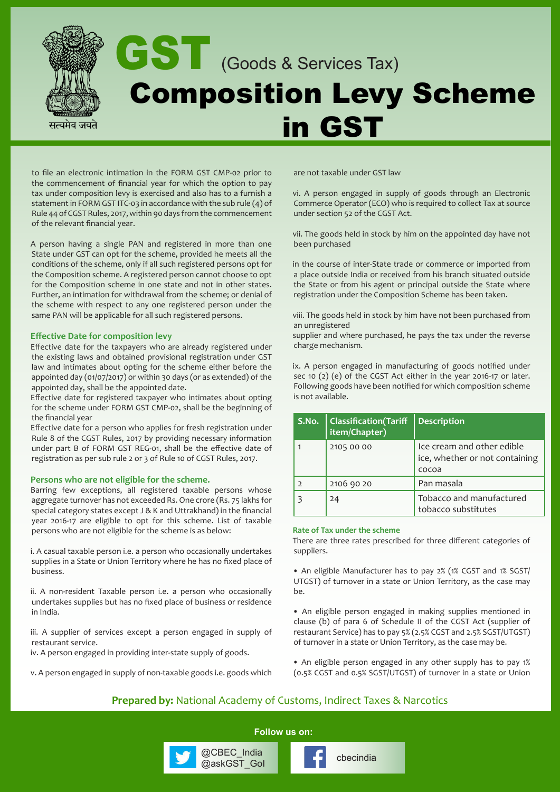

to file an electronic intimation in the FORM GST CMP-02 prior to the commencement of financial year for which the option to pay tax under composition levy is exercised and also has to a furnish a statement in FORM GST ITC-03 in accordance with the sub rule (4) of Rule 44 of CGST Rules, 2017, within 90 days from the commencement of the relevant financial year.

A person having a single PAN and registered in more than one State under GST can opt for the scheme, provided he meets all the conditions of the scheme, only if all such registered persons opt for the Composition scheme. A registered person cannot choose to opt for the Composition scheme in one state and not in other states. Further, an intimation for withdrawal from the scheme; or denial of the scheme with respect to any one registered person under the same PAN will be applicable for all such registered persons.

#### **Effective Date for composition levy**

Effective date for the taxpayers who are already registered under the existing laws and obtained provisional registration under GST law and intimates about opting for the scheme either before the appointed day (01/07/2017) or within 30 days (or as extended) of the appointed day, shall be the appointed date.

Effective date for registered taxpayer who intimates about opting for the scheme under FORM GST CMP-02, shall be the beginning of the financial year

Effective date for a person who applies for fresh registration under Rule 8 of the CGST Rules, 2017 by providing necessary information under part B of FORM GST REG-01, shall be the effective date of registration as per sub rule 2 or 3 of Rule 10 of CGST Rules, 2017.

#### **Persons who are not eligible for the scheme.**

Barring few exceptions, all registered taxable persons whose aggregate turnover has not exceeded Rs. One crore (Rs. 75 lakhs for special category states except J & K and Uttrakhand) in the financial year 2016-17 are eligible to opt for this scheme. List of taxable persons who are not eligible for the scheme is as below:

i. A casual taxable person i.e. a person who occasionally undertakes supplies in a State or Union Territory where he has no fixed place of business.

ii. A non-resident Taxable person i.e. a person who occasionally undertakes supplies but has no fixed place of business or residence in India.

iii. A supplier of services except a person engaged in supply of restaurant service.

iv. A person engaged in providing inter-state supply of goods.

v. A person engaged in supply of non-taxable goods i.e. goods which

are not taxable under GST law

vi. A person engaged in supply of goods through an Electronic Commerce Operator (ECO) who is required to collect Tax at source under section 52 of the CGST Act.

vii. The goods held in stock by him on the appointed day have not been purchased

in the course of inter-State trade or commerce or imported from a place outside India or received from his branch situated outside the State or from his agent or principal outside the State where registration under the Composition Scheme has been taken.

viii. The goods held in stock by him have not been purchased from an unregistered

supplier and where purchased, he pays the tax under the reverse charge mechanism.

ix. A person engaged in manufacturing of goods notified under sec 10 (2) (e) of the CGST Act either in the year 2016-17 or later. Following goods have been notified for which composition scheme is not available.

| S.No. | <b>Classification</b> (Tariff<br>item/Chapter) | <b>Description</b>                                                    |
|-------|------------------------------------------------|-----------------------------------------------------------------------|
|       | 2105 00 00                                     | Ice cream and other edible<br>ice, whether or not containing<br>cocoa |
|       | 2106 90 20                                     | Pan masala                                                            |
|       | 24                                             | Tobacco and manufactured<br>tobacco substitutes                       |

#### **Rate of Tax under the scheme**

There are three rates prescribed for three different categories of suppliers.

• An eligible Manufacturer has to pay 2% (1% CGST and 1% SGST/ UTGST) of turnover in a state or Union Territory, as the case may be.

• An eligible person engaged in making supplies mentioned in clause (b) of para 6 of Schedule II of the CGST Act (supplier of restaurant Service) has to pay 5% (2.5% CGST and 2.5% SGST/UTGST) of turnover in a state or Union Territory, as the case may be.

• An eligible person engaged in any other supply has to pay 1% (0.5% CGST and 0.5% SGST/UTGST) of turnover in a state or Union

# **Prepared by:** National Academy of Customs, Indirect Taxes & Narcotics

**Follow us on:**

@CBEC\_India<br>@askGST\_Gol **change of checindia** 

@CBEC\_India